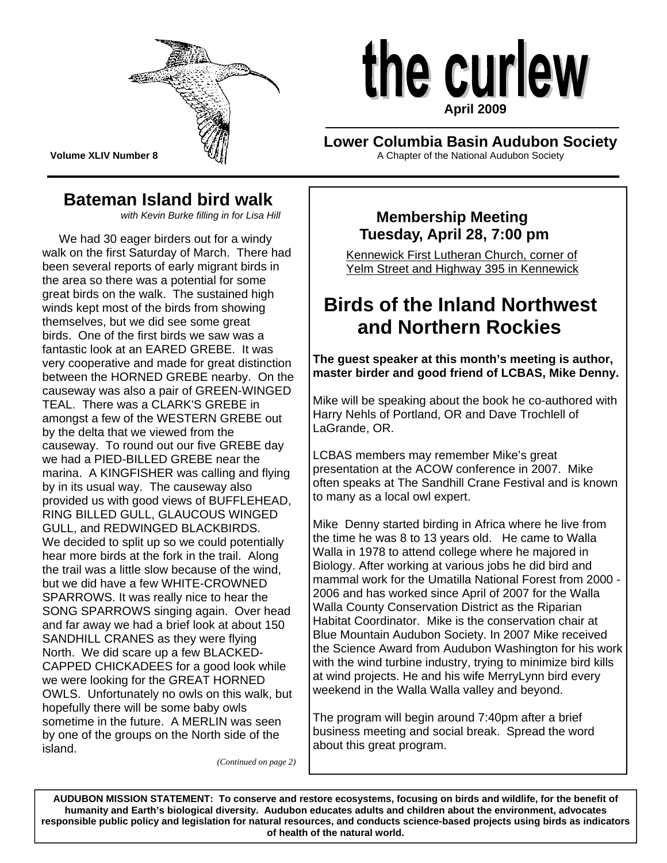

**Volume XLIV Number 8** 

# the curlew **April 2009**

# **Lower Columbia Basin Audubon Society**

A Chapter of the National Audubon Society

# **Bateman Island bird walk**

*with Kevin Burke filling in for Lisa Hill* 

 We had 30 eager birders out for a windy walk on the first Saturday of March. There had been several reports of early migrant birds in the area so there was a potential for some great birds on the walk. The sustained high winds kept most of the birds from showing themselves, but we did see some great birds. One of the first birds we saw was a fantastic look at an EARED GREBE. It was very cooperative and made for great distinction between the HORNED GREBE nearby. On the causeway was also a pair of GREEN-WINGED TEAL. There was a CLARK'S GREBE in amongst a few of the WESTERN GREBE out by the delta that we viewed from the causeway. To round out our five GREBE day we had a PIED-BILLED GREBE near the marina. A KINGFISHER was calling and flying by in its usual way. The causeway also provided us with good views of BUFFLEHEAD, RING BILLED GULL, GLAUCOUS WINGED GULL, and REDWINGED BLACKBIRDS. We decided to split up so we could potentially hear more birds at the fork in the trail. Along the trail was a little slow because of the wind, but we did have a few WHITE-CROWNED SPARROWS. It was really nice to hear the SONG SPARROWS singing again. Over head and far away we had a brief look at about 150 SANDHILL CRANES as they were flying North. We did scare up a few BLACKED-CAPPED CHICKADEES for a good look while we were looking for the GREAT HORNED OWLS. Unfortunately no owls on this walk, but hopefully there will be some baby owls sometime in the future. A MERLIN was seen by one of the groups on the North side of the island.

*(Continued on page 2)* 

# **Membership Meeting Tuesday, April 28, 7:00 pm**

 Kennewick First Lutheran Church, corner of Yelm Street and Highway 395 in Kennewick

# **Birds of the Inland Northwest and Northern Rockies**

**The guest speaker at this month's meeting is author, master birder and good friend of LCBAS, Mike Denny.** 

Mike will be speaking about the book he co-authored with Harry Nehls of Portland, OR and Dave Trochlell of LaGrande, OR.

LCBAS members may remember Mike's great presentation at the ACOW conference in 2007. Mike often speaks at The Sandhill Crane Festival and is known to many as a local owl expert.

Mike Denny started birding in Africa where he live from the time he was 8 to 13 years old. He came to Walla Walla in 1978 to attend college where he majored in Biology. After working at various jobs he did bird and mammal work for the Umatilla National Forest from 2000 - 2006 and has worked since April of 2007 for the Walla Walla County Conservation District as the Riparian Habitat Coordinator. Mike is the conservation chair at Blue Mountain Audubon Society. In 2007 Mike received the Science Award from Audubon Washington for his work with the wind turbine industry, trying to minimize bird kills at wind projects. He and his wife MerryLynn bird every weekend in the Walla Walla valley and beyond.

The program will begin around 7:40pm after a brief business meeting and social break. Spread the word about this great program.

 **of health of the natural world. AUDUBON MISSION STATEMENT: To conserve and restore ecosystems, focusing on birds and wildlife, for the benefit of humanity and Earth's biological diversity. Audubon educates adults and children about the environment, advocates responsible public policy and legislation for natural resources, and conducts science-based projects using birds as indicators**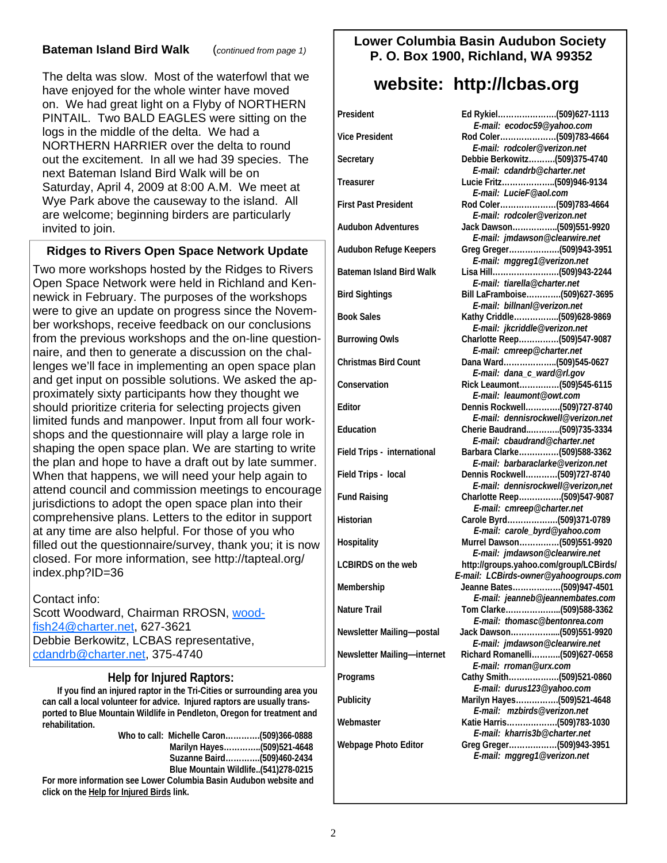#### **Bateman Island Bird Walk** (*continued from page 1)*

The delta was slow. Most of the waterfowl that we have enjoyed for the whole winter have moved on. We had great light on a Flyby of NORTHERN PINTAIL. Two BALD EAGLES were sitting on the logs in the middle of the delta. We had a NORTHERN HARRIER over the delta to round out the excitement. In all we had 39 species. The next Bateman Island Bird Walk will be on Saturday, April 4, 2009 at 8:00 A.M. We meet at Wye Park above the causeway to the island. All are welcome; beginning birders are particularly invited to join.

#### **Ridges to Rivers Open Space Network Update**

Two more workshops hosted by the Ridges to Rivers Open Space Network were held in Richland and Kennewick in February. The purposes of the workshops were to give an update on progress since the November workshops, receive feedback on our conclusions from the previous workshops and the on-line questionnaire, and then to generate a discussion on the challenges we'll face in implementing an open space plan and get input on possible solutions. We asked the approximately sixty participants how they thought we should prioritize criteria for selecting projects given limited funds and manpower. Input from all four workshops and the questionnaire will play a large role in shaping the open space plan. We are starting to write the plan and hope to have a draft out by late summer. When that happens, we will need your help again to attend council and commission meetings to encourage jurisdictions to adopt the open space plan into their comprehensive plans. Letters to the editor in support at any time are also helpful. For those of you who filled out the questionnaire/survey, thank you; it is now closed. For more information, see http://tapteal.org/ index.php?ID=36

Contact info: Scott Woodward, Chairman RROSN, [wood](mailto:woodfish24@charter.net)[fish24@charter.net](mailto:woodfish24@charter.net), 627-3621 Debbie Berkowitz, LCBAS representative, [cdandrb@charter.net](mailto:cdandrb@charter.net), 375-4740

**Help for Injured Raptors:**<br>If you find an injured raptor in the Tri-Cities or surrounding area you **can call a local volunteer for advice. Injured raptors are usually transported to Blue Mountain Wildlife in Pendleton, Oregon for treatment and rehabilitation.** 

|                                                                   | Marilyn Hayes(509)521-4648          |  |
|-------------------------------------------------------------------|-------------------------------------|--|
|                                                                   | Suzanne Baird(509)460-2434          |  |
|                                                                   | Blue Mountain Wildlife(541)278-0215 |  |
| Fernand information and Louise Columbia Deain Auduben website and |                                     |  |

**For more information see Lower Columbia Basin Audubon website and click on the Help for Injured Birds link.**

#### **Lower Columbia Basin Audubon Society P. O. Box 1900, Richland, WA 99352**

# **website: http://lcbas.org**

| President                   | Ed Rykiel(509)627-1113                                                          |
|-----------------------------|---------------------------------------------------------------------------------|
|                             | E-mail: ecodoc59@yahoo.com                                                      |
| Vice President              | E-mail: rodcoler@verizon.net                                                    |
| Secretary                   | Debbie Berkowitz(509)375-4740<br>E-mail: cdandrb@charter.net                    |
| Treasurer                   | Lucie Fritz(509)946-9134<br>E-mail: LucieF@aol.com                              |
| <b>First Past President</b> | Rod Coler(509)783-4664<br>E-mail: rodcoler@verizon.net                          |
| Audubon Adventures          | Jack Dawson(509)551-9920<br>E-mail: jmdawson@clearwire.net                      |
| Audubon Refuge Keepers      | E-mail: mggreg1@verizon.net                                                     |
| Bateman Island Bird Walk    | E-mail: tiarella@charter.net                                                    |
| <b>Bird Sightings</b>       | Bill LaFramboise(509)627-3695<br>E-mail: billnanl@verizon.net                   |
| <b>Book Sales</b>           | Kathy Criddle(509)628-9869<br>E-mail: jkcriddle@verizon.net                     |
| <b>Burrowing Owls</b>       | Charlotte Reep(509)547-9087<br>E-mail: cmreep@charter.net                       |
| <b>Christmas Bird Count</b> | Dana Ward(509)545-0627<br>E-mail: dana_c_ward@rl.gov                            |
| Conservation                | Rick Leaumont(509)545-6115<br>E-mail: leaumont@owt.com                          |
| Editor                      | Dennis Rockwell(509)727-8740<br>E-mail: dennisrockwell@verizon.net              |
| Education                   | Cherie Baudrand(509)735-3334<br>E-mail: cbaudrand@charter.net                   |
| Field Trips - international | Barbara Clarke(509)588-3362<br>E-mail: barbaraclarke@verizon.net                |
| Field Trips - local         | Dennis Rockwell(509)727-8740<br>E-mail: dennisrockwell@verizon,net              |
| <b>Fund Raising</b>         | Charlotte Reep(509)547-9087<br>E-mail: cmreep@charter.net                       |
| Historian                   | Carole Byrd(509)371-0789<br>E-mail: carole_byrd@yahoo.com                       |
| Hospitality                 | Murrel Dawson(509)551-9920<br>E-mail: jmdawson@clearwire.net                    |
| <b>LCBIRDS on the web</b>   | http://groups.yahoo.com/group/LCBirds/<br>E-mail: LCBirds-owner@yahoogroups.com |
| Membership                  | Jeanne Bates(509)947-4501<br>E-mail: jeanneb@jeannembates.com                   |
| Nature Trail                | Tom Clarke(509)588-3362<br>E-mail: thomasc@bentonrea.com                        |
| Newsletter Mailing-postal   | Jack Dawson(509)551-9920<br>E-mail: jmdawson@clearwire.net                      |
| Newsletter Mailing-internet | Richard Romanelli(509)627-0658<br>E-mail: rroman@urx.com                        |
| Programs                    | Cathy Smith(509)521-0860<br>E-mail: durus123@yahoo.com                          |
| Publicity                   | Marilyn Hayes(509)521-4648<br>E-mail: mzbirds@verizon.net                       |
| Webmaster                   | Katie Harris(509)783-1030<br>E-mail: kharris3b@charter.net                      |
| Webpage Photo Editor        | Greg Greger(509)943-3951<br>E-mail: mggreg1@verizon.net                         |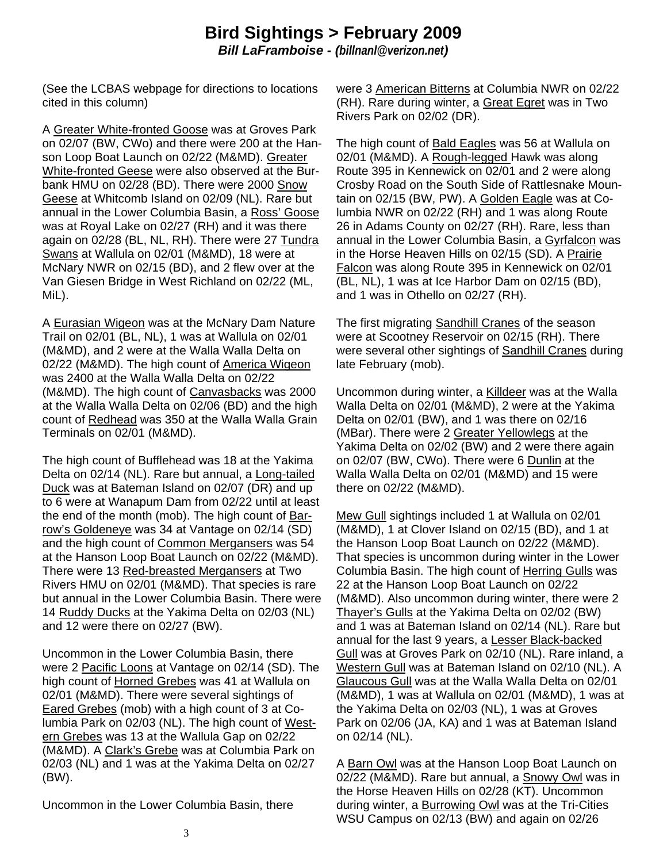### **Bird Sightings > February 2009**  *Bill LaFramboise - (billnanl@verizon.net)*

(See the LCBAS webpage for directions to locations cited in this column)

A Greater White-fronted Goose was at Groves Park on 02/07 (BW, CWo) and there were 200 at the Hanson Loop Boat Launch on 02/22 (M&MD). Greater White-fronted Geese were also observed at the Burbank HMU on 02/28 (BD). There were 2000 Snow Geese at Whitcomb Island on 02/09 (NL). Rare but annual in the Lower Columbia Basin, a Ross' Goose was at Royal Lake on 02/27 (RH) and it was there again on 02/28 (BL, NL, RH). There were 27 Tundra Swans at Wallula on 02/01 (M&MD), 18 were at McNary NWR on 02/15 (BD), and 2 flew over at the Van Giesen Bridge in West Richland on 02/22 (ML, MiL).

A Eurasian Wigeon was at the McNary Dam Nature Trail on 02/01 (BL, NL), 1 was at Wallula on 02/01 (M&MD), and 2 were at the Walla Walla Delta on 02/22 (M&MD). The high count of America Wigeon was 2400 at the Walla Walla Delta on 02/22 (M&MD). The high count of Canvasbacks was 2000 at the Walla Walla Delta on 02/06 (BD) and the high count of Redhead was 350 at the Walla Walla Grain Terminals on 02/01 (M&MD).

The high count of Bufflehead was 18 at the Yakima Delta on 02/14 (NL). Rare but annual, a Long-tailed Duck was at Bateman Island on 02/07 (DR) and up to 6 were at Wanapum Dam from 02/22 until at least the end of the month (mob). The high count of Barrow's Goldeneye was 34 at Vantage on 02/14 (SD) and the high count of Common Mergansers was 54 at the Hanson Loop Boat Launch on 02/22 (M&MD). There were 13 Red-breasted Mergansers at Two Rivers HMU on 02/01 (M&MD). That species is rare but annual in the Lower Columbia Basin. There were 14 Ruddy Ducks at the Yakima Delta on 02/03 (NL) and 12 were there on 02/27 (BW).

Uncommon in the Lower Columbia Basin, there were 2 Pacific Loons at Vantage on 02/14 (SD). The high count of Horned Grebes was 41 at Wallula on 02/01 (M&MD). There were several sightings of Eared Grebes (mob) with a high count of 3 at Columbia Park on 02/03 (NL). The high count of Western Grebes was 13 at the Wallula Gap on 02/22 (M&MD). A Clark's Grebe was at Columbia Park on 02/03 (NL) and 1 was at the Yakima Delta on 02/27 (BW).

Uncommon in the Lower Columbia Basin, there

were 3 American Bitterns at Columbia NWR on 02/22 (RH). Rare during winter, a Great Egret was in Two Rivers Park on 02/02 (DR).

The high count of Bald Eagles was 56 at Wallula on 02/01 (M&MD). A Rough-legged Hawk was along Route 395 in Kennewick on 02/01 and 2 were along Crosby Road on the South Side of Rattlesnake Mountain on 02/15 (BW, PW). A Golden Eagle was at Columbia NWR on 02/22 (RH) and 1 was along Route 26 in Adams County on 02/27 (RH). Rare, less than annual in the Lower Columbia Basin, a Gyrfalcon was in the Horse Heaven Hills on 02/15 (SD). A Prairie Falcon was along Route 395 in Kennewick on 02/01 (BL, NL), 1 was at Ice Harbor Dam on 02/15 (BD), and 1 was in Othello on 02/27 (RH).

The first migrating Sandhill Cranes of the season were at Scootney Reservoir on 02/15 (RH). There were several other sightings of Sandhill Cranes during late February (mob).

Uncommon during winter, a Killdeer was at the Walla Walla Delta on 02/01 (M&MD), 2 were at the Yakima Delta on 02/01 (BW), and 1 was there on 02/16 (MBar). There were 2 Greater Yellowlegs at the Yakima Delta on 02/02 (BW) and 2 were there again on 02/07 (BW, CWo). There were 6 Dunlin at the Walla Walla Delta on 02/01 (M&MD) and 15 were there on 02/22 (M&MD).

Mew Gull sightings included 1 at Wallula on 02/01 (M&MD), 1 at Clover Island on 02/15 (BD), and 1 at the Hanson Loop Boat Launch on 02/22 (M&MD). That species is uncommon during winter in the Lower Columbia Basin. The high count of Herring Gulls was 22 at the Hanson Loop Boat Launch on 02/22 (M&MD). Also uncommon during winter, there were 2 Thayer's Gulls at the Yakima Delta on 02/02 (BW) and 1 was at Bateman Island on 02/14 (NL). Rare but annual for the last 9 years, a Lesser Black-backed Gull was at Groves Park on 02/10 (NL). Rare inland, a Western Gull was at Bateman Island on 02/10 (NL). A Glaucous Gull was at the Walla Walla Delta on 02/01 (M&MD), 1 was at Wallula on 02/01 (M&MD), 1 was at the Yakima Delta on 02/03 (NL), 1 was at Groves Park on 02/06 (JA, KA) and 1 was at Bateman Island on 02/14 (NL).

A Barn Owl was at the Hanson Loop Boat Launch on 02/22 (M&MD). Rare but annual, a Snowy Owl was in the Horse Heaven Hills on 02/28 (KT). Uncommon during winter, a Burrowing Owl was at the Tri-Cities WSU Campus on 02/13 (BW) and again on 02/26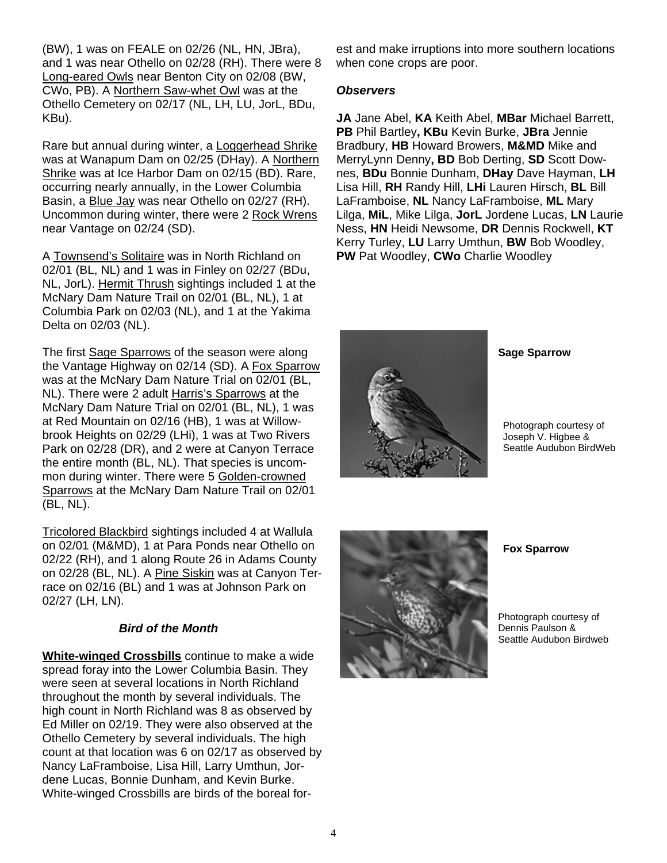(BW), 1 was on FEALE on 02/26 (NL, HN, JBra), and 1 was near Othello on 02/28 (RH). There were 8 Long-eared Owls near Benton City on 02/08 (BW, CWo, PB). A Northern Saw-whet Owl was at the Othello Cemetery on 02/17 (NL, LH, LU, JorL, BDu, KBu).

Rare but annual during winter, a Loggerhead Shrike was at Wanapum Dam on 02/25 (DHay). A Northern Shrike was at Ice Harbor Dam on 02/15 (BD). Rare, occurring nearly annually, in the Lower Columbia Basin, a Blue Jay was near Othello on 02/27 (RH). Uncommon during winter, there were 2 Rock Wrens near Vantage on 02/24 (SD).

A Townsend's Solitaire was in North Richland on 02/01 (BL, NL) and 1 was in Finley on 02/27 (BDu, NL, JorL). Hermit Thrush sightings included 1 at the McNary Dam Nature Trail on 02/01 (BL, NL), 1 at Columbia Park on 02/03 (NL), and 1 at the Yakima Delta on 02/03 (NL).

The first Sage Sparrows of the season were along the Vantage Highway on 02/14 (SD). A Fox Sparrow was at the McNary Dam Nature Trial on 02/01 (BL, NL). There were 2 adult Harris's Sparrows at the McNary Dam Nature Trial on 02/01 (BL, NL), 1 was at Red Mountain on 02/16 (HB), 1 was at Willowbrook Heights on 02/29 (LHi), 1 was at Two Rivers Park on 02/28 (DR), and 2 were at Canyon Terrace the entire month (BL, NL). That species is uncommon during winter. There were 5 Golden-crowned Sparrows at the McNary Dam Nature Trail on 02/01 (BL, NL).

Tricolored Blackbird sightings included 4 at Wallula on 02/01 (M&MD), 1 at Para Ponds near Othello on 02/22 (RH), and 1 along Route 26 in Adams County on 02/28 (BL, NL). A Pine Siskin was at Canyon Terrace on 02/16 (BL) and 1 was at Johnson Park on 02/27 (LH, LN).

#### *Bird of the Month*

**White-winged Crossbills** continue to make a wide spread foray into the Lower Columbia Basin. They were seen at several locations in North Richland throughout the month by several individuals. The high count in North Richland was 8 as observed by Ed Miller on 02/19. They were also observed at the Othello Cemetery by several individuals. The high count at that location was 6 on 02/17 as observed by Nancy LaFramboise, Lisa Hill, Larry Umthun, Jordene Lucas, Bonnie Dunham, and Kevin Burke. White-winged Crossbills are birds of the boreal forest and make irruptions into more southern locations when cone crops are poor.

#### *Observers*

**JA** Jane Abel, **KA** Keith Abel, **MBar** Michael Barrett, **PB** Phil Bartley**, KBu** Kevin Burke, **JBra** Jennie Bradbury, **HB** Howard Browers, **M&MD** Mike and MerryLynn Denny**, BD** Bob Derting, **SD** Scott Downes, **BDu** Bonnie Dunham, **DHay** Dave Hayman, **LH** Lisa Hill, **RH** Randy Hill, **LHi** Lauren Hirsch, **BL** Bill LaFramboise, **NL** Nancy LaFramboise, **ML** Mary Lilga, **MiL**, Mike Lilga, **JorL** Jordene Lucas, **LN** Laurie Ness, **HN** Heidi Newsome, **DR** Dennis Rockwell, **KT** Kerry Turley, **LU** Larry Umthun, **BW** Bob Woodley, **PW** Pat Woodley, **CWo** Charlie Woodley



**Sage Sparrow** 

Photograph courtesy of Joseph V. Higbee & Seattle Audubon BirdWeb



**Fox Sparrow** 

Photograph courtesy of Dennis Paulson & Seattle Audubon Birdweb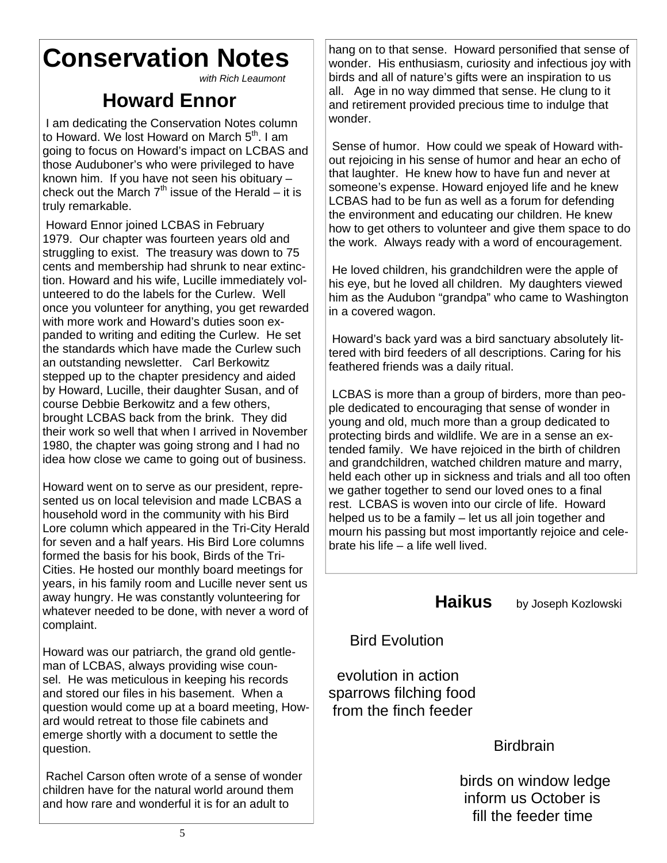# **Conservation Notes**

*with Rich Leaumont*

# **Howard Ennor**

 I am dedicating the Conservation Notes column to Howard. We lost Howard on March 5<sup>th</sup>. I am going to focus on Howard's impact on LCBAS and those Auduboner's who were privileged to have known him. If you have not seen his obituary – check out the March  $7<sup>th</sup>$  issue of the Herald – it is truly remarkable.

 Howard Ennor joined LCBAS in February 1979. Our chapter was fourteen years old and struggling to exist. The treasury was down to 75 cents and membership had shrunk to near extinction. Howard and his wife, Lucille immediately volunteered to do the labels for the Curlew. Well once you volunteer for anything, you get rewarded with more work and Howard's duties soon expanded to writing and editing the Curlew. He set the standards which have made the Curlew such an outstanding newsletter. Carl Berkowitz stepped up to the chapter presidency and aided by Howard, Lucille, their daughter Susan, and of course Debbie Berkowitz and a few others, brought LCBAS back from the brink. They did their work so well that when I arrived in November 1980, the chapter was going strong and I had no idea how close we came to going out of business.

Howard went on to serve as our president, represented us on local television and made LCBAS a household word in the community with his Bird Lore column which appeared in the Tri-City Herald for seven and a half years. His Bird Lore columns formed the basis for his book, Birds of the Tri-Cities. He hosted our monthly board meetings for years, in his family room and Lucille never sent us away hungry. He was constantly volunteering for whatever needed to be done, with never a word of complaint.

Howard was our patriarch, the grand old gentleman of LCBAS, always providing wise counsel. He was meticulous in keeping his records and stored our files in his basement. When a question would come up at a board meeting, Howard would retreat to those file cabinets and emerge shortly with a document to settle the question.

 Rachel Carson often wrote of a sense of wonder children have for the natural world around them and how rare and wonderful it is for an adult to

hang on to that sense. Howard personified that sense of wonder. His enthusiasm, curiosity and infectious joy with birds and all of nature's gifts were an inspiration to us all. Age in no way dimmed that sense. He clung to it and retirement provided precious time to indulge that wonder.

 Sense of humor. How could we speak of Howard without rejoicing in his sense of humor and hear an echo of that laughter. He knew how to have fun and never at someone's expense. Howard enjoyed life and he knew LCBAS had to be fun as well as a forum for defending the environment and educating our children. He knew how to get others to volunteer and give them space to do the work. Always ready with a word of encouragement.

 He loved children, his grandchildren were the apple of his eye, but he loved all children. My daughters viewed him as the Audubon "grandpa" who came to Washington in a covered wagon.

 Howard's back yard was a bird sanctuary absolutely littered with bird feeders of all descriptions. Caring for his feathered friends was a daily ritual.

 LCBAS is more than a group of birders, more than people dedicated to encouraging that sense of wonder in young and old, much more than a group dedicated to protecting birds and wildlife. We are in a sense an extended family. We have rejoiced in the birth of children and grandchildren, watched children mature and marry, held each other up in sickness and trials and all too often we gather together to send our loved ones to a final rest. LCBAS is woven into our circle of life. Howard helped us to be a family – let us all join together and mourn his passing but most importantly rejoice and celebrate his life – a life well lived.

**Haikus** by Joseph Kozlowski

Bird Evolution

 evolution in action sparrows filching food from the finch feeder

**Birdbrain** 

 birds on window ledge inform us October is fill the feeder time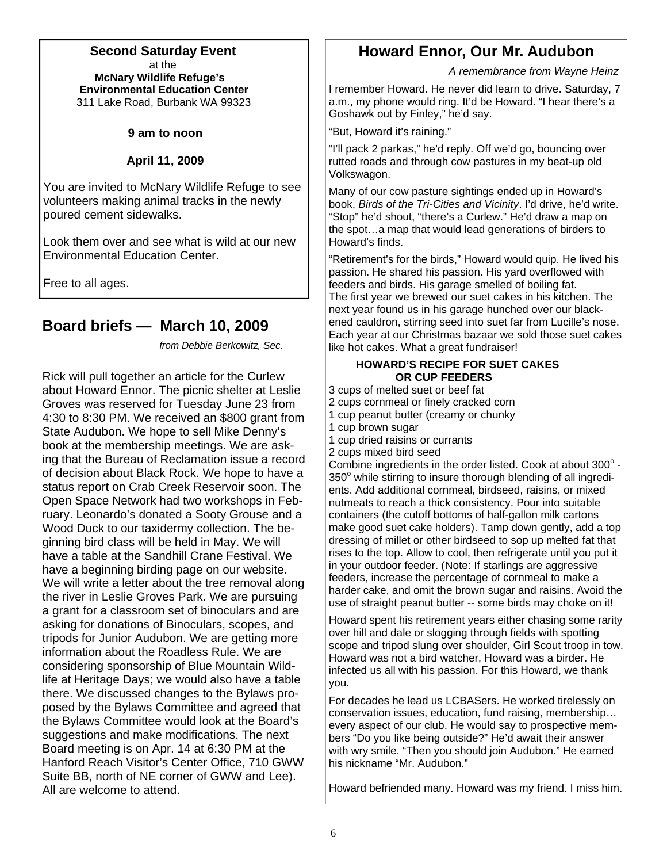#### **Second Saturday Event** at the  **McNary Wildlife Refuge's Environmental Education Center** 311 Lake Road, Burbank WA 99323

#### **9 am to noon**

#### **April 11, 2009**

You are invited to McNary Wildlife Refuge to see volunteers making animal tracks in the newly poured cement sidewalks.

Look them over and see what is wild at our new Environmental Education Center.

Free to all ages.

## **Board briefs — March 10, 2009**

*from Debbie Berkowitz, Sec.* 

Rick will pull together an article for the Curlew about Howard Ennor. The picnic shelter at Leslie Groves was reserved for Tuesday June 23 from 4:30 to 8:30 PM. We received an \$800 grant from State Audubon. We hope to sell Mike Denny's book at the membership meetings. We are asking that the Bureau of Reclamation issue a record of decision about Black Rock. We hope to have a status report on Crab Creek Reservoir soon. The Open Space Network had two workshops in February. Leonardo's donated a Sooty Grouse and a Wood Duck to our taxidermy collection. The beginning bird class will be held in May. We will have a table at the Sandhill Crane Festival. We have a beginning birding page on our website. We will write a letter about the tree removal along the river in Leslie Groves Park. We are pursuing a grant for a classroom set of binoculars and are asking for donations of Binoculars, scopes, and tripods for Junior Audubon. We are getting more information about the Roadless Rule. We are considering sponsorship of Blue Mountain Wildlife at Heritage Days; we would also have a table there. We discussed changes to the Bylaws proposed by the Bylaws Committee and agreed that the Bylaws Committee would look at the Board's suggestions and make modifications. The next Board meeting is on Apr. 14 at 6:30 PM at the Hanford Reach Visitor's Center Office, 710 GWW Suite BB, north of NE corner of GWW and Lee). All are welcome to attend.

# **Howard Ennor, Our Mr. Audubon**

 *A remembrance from Wayne Heinz* 

I remember Howard. He never did learn to drive. Saturday, 7 a.m., my phone would ring. It'd be Howard. "I hear there's a Goshawk out by Finley," he'd say.

"But, Howard it's raining."

"I'll pack 2 parkas," he'd reply. Off we'd go, bouncing over rutted roads and through cow pastures in my beat-up old Volkswagon.

Many of our cow pasture sightings ended up in Howard's book, *Birds of the Tri-Cities and Vicinity*. I'd drive, he'd write. "Stop" he'd shout, "there's a Curlew." He'd draw a map on the spot…a map that would lead generations of birders to Howard's finds.

"Retirement's for the birds," Howard would quip. He lived his passion. He shared his passion. His yard overflowed with feeders and birds. His garage smelled of boiling fat. The first year we brewed our suet cakes in his kitchen. The next year found us in his garage hunched over our blackened cauldron, stirring seed into suet far from Lucille's nose. Each year at our Christmas bazaar we sold those suet cakes like hot cakes. What a great fundraiser!

#### **HOWARD'S RECIPE FOR SUET CAKES OR CUP FEEDERS**

3 cups of melted suet or beef fat

- 2 cups cornmeal or finely cracked corn
- 1 cup peanut butter (creamy or chunky
- 1 cup brown sugar
- 1 cup dried raisins or currants
- 2 cups mixed bird seed

Combine ingredients in the order listed. Cook at about  $300^{\circ}$  - $350^\circ$  while stirring to insure thorough blending of all ingredients. Add additional cornmeal, birdseed, raisins, or mixed nutmeats to reach a thick consistency. Pour into suitable containers (the cutoff bottoms of half-gallon milk cartons make good suet cake holders). Tamp down gently, add a top dressing of millet or other birdseed to sop up melted fat that rises to the top. Allow to cool, then refrigerate until you put it in your outdoor feeder. (Note: If starlings are aggressive feeders, increase the percentage of cornmeal to make a harder cake, and omit the brown sugar and raisins. Avoid the use of straight peanut butter -- some birds may choke on it!

Howard spent his retirement years either chasing some rarity over hill and dale or slogging through fields with spotting scope and tripod slung over shoulder, Girl Scout troop in tow. Howard was not a bird watcher, Howard was a birder. He infected us all with his passion. For this Howard, we thank you.

For decades he lead us LCBASers. He worked tirelessly on conservation issues, education, fund raising, membership… every aspect of our club. He would say to prospective members "Do you like being outside?" He'd await their answer with wry smile. "Then you should join Audubon." He earned his nickname "Mr. Audubon."

Howard befriended many. Howard was my friend. I miss him.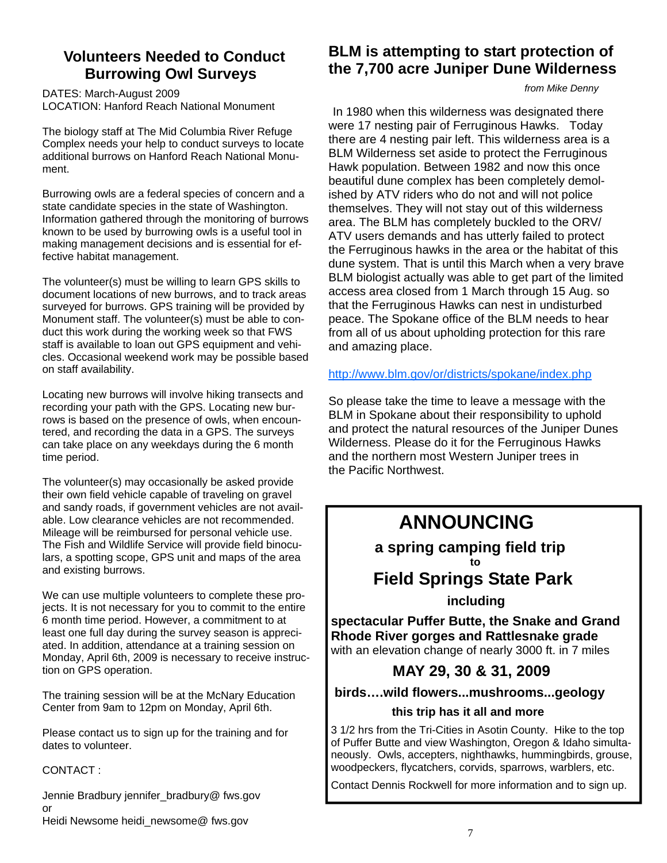# **Volunteers Needed to Conduct Burrowing Owl Surveys**

DATES: March-August 2009 LOCATION: Hanford Reach National Monument

The biology staff at The Mid Columbia River Refuge Complex needs your help to conduct surveys to locate additional burrows on Hanford Reach National Monument.

Burrowing owls are a federal species of concern and a state candidate species in the state of Washington. Information gathered through the monitoring of burrows known to be used by burrowing owls is a useful tool in making management decisions and is essential for effective habitat management.

The volunteer(s) must be willing to learn GPS skills to document locations of new burrows, and to track areas surveyed for burrows. GPS training will be provided by Monument staff. The volunteer(s) must be able to conduct this work during the working week so that FWS staff is available to loan out GPS equipment and vehicles. Occasional weekend work may be possible based on staff availability.

Locating new burrows will involve hiking transects and recording your path with the GPS. Locating new burrows is based on the presence of owls, when encountered, and recording the data in a GPS. The surveys can take place on any weekdays during the 6 month time period.

The volunteer(s) may occasionally be asked provide their own field vehicle capable of traveling on gravel and sandy roads, if government vehicles are not available. Low clearance vehicles are not recommended. Mileage will be reimbursed for personal vehicle use. The Fish and Wildlife Service will provide field binoculars, a spotting scope, GPS unit and maps of the area and existing burrows.

We can use multiple volunteers to complete these projects. It is not necessary for you to commit to the entire 6 month time period. However, a commitment to at least one full day during the survey season is appreciated. In addition, attendance at a training session on Monday, April 6th, 2009 is necessary to receive instruction on GPS operation.

The training session will be at the McNary Education Center from 9am to 12pm on Monday, April 6th.

Please contact us to sign up for the training and for dates to volunteer.

#### CONTACT :

Jennie Bradbury jennifer\_bradbury@ fws.gov or Heidi Newsome heidi\_newsome@ fws.gov

# **BLM is attempting to start protection of the 7,700 acre Juniper Dune Wilderness**

*from Mike Denny* 

In 1980 when this wilderness was designated there were 17 nesting pair of Ferruginous Hawks. Today there are 4 nesting pair left. This wilderness area is a BLM Wilderness set aside to protect the Ferruginous Hawk population. Between 1982 and now this once beautiful dune complex has been completely demolished by ATV riders who do not and will not police themselves. They will not stay out of this wilderness area. The BLM has completely buckled to the ORV/ ATV users demands and has utterly failed to protect the Ferruginous hawks in the area or the habitat of this dune system. That is until this March when a very brave BLM biologist actually was able to get part of the limited access area closed from 1 March through 15 Aug. so that the Ferruginous Hawks can nest in undisturbed peace. The Spokane office of the BLM needs to hear from all of us about upholding protection for this rare and amazing place.

<http://www.blm.gov/or/districts/spokane/index.php>

So please take the time to leave a message with the BLM in Spokane about their responsibility to uphold and protect the natural resources of the Juniper Dunes Wilderness. Please do it for the Ferruginous Hawks and the northern most Western Juniper trees in the Pacific Northwest.

# **ANNOUNCING**

 **a spring camping field trip** 

#### **to** the state of the state of the state of the state of the state of the state of the state of the state of the state of the state of the state of the state of the state of the state of the state of the state of the state  **Field Springs State Park**

 **including** 

**spectacular Puffer Butte, the Snake and Grand Rhode River gorges and Rattlesnake grade**  with an elevation change of nearly 3000 ft. in 7 miles

# **MAY 29, 30 & 31, 2009**

### **birds….wild flowers...mushrooms...geology**

#### **this trip has it all and more**

3 1/2 hrs from the Tri-Cities in Asotin County. Hike to the top of Puffer Butte and view Washington, Oregon & Idaho simultaneously. Owls, accepters, nighthawks, hummingbirds, grouse, woodpeckers, flycatchers, corvids, sparrows, warblers, etc.

Contact Dennis Rockwell for more information and to sign up.